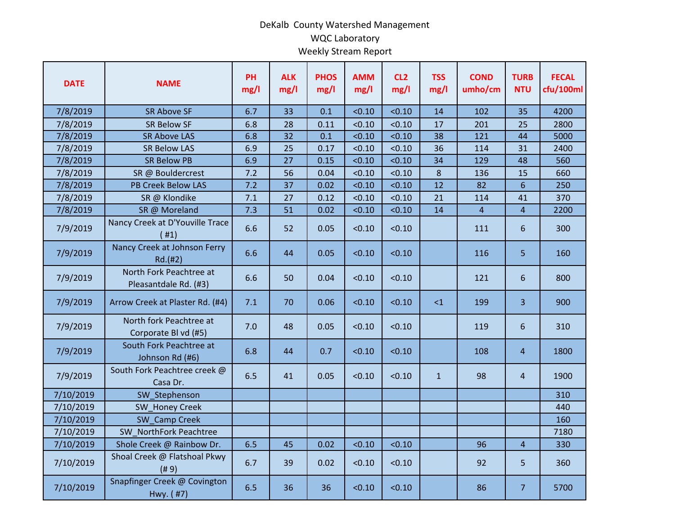## DeKalb County Watershed Management WQC Laboratory Weekly Stream Report

| <b>DATE</b> | <b>NAME</b>                                      | PH<br>mg/l | <b>ALK</b><br>mg/l | <b>PHOS</b><br>mg/l | <b>AMM</b><br>mg/l | CL <sub>2</sub><br>mg/l | <b>TSS</b><br>mg/l | <b>COND</b><br>umho/cm | <b>TURB</b><br><b>NTU</b> | <b>FECAL</b><br>cfu/100ml |
|-------------|--------------------------------------------------|------------|--------------------|---------------------|--------------------|-------------------------|--------------------|------------------------|---------------------------|---------------------------|
| 7/8/2019    | <b>SR Above SF</b>                               | 6.7        | 33                 | 0.1                 | < 0.10             | < 0.10                  | 14                 | 102                    | 35                        | 4200                      |
| 7/8/2019    | <b>SR Below SF</b>                               | 6.8        | 28                 | 0.11                | < 0.10             | < 0.10                  | 17                 | 201                    | 25                        | 2800                      |
| 7/8/2019    | <b>SR Above LAS</b>                              | 6.8        | 32                 | 0.1                 | < 0.10             | < 0.10                  | 38                 | 121                    | 44                        | 5000                      |
| 7/8/2019    | <b>SR Below LAS</b>                              | 6.9        | 25                 | 0.17                | < 0.10             | < 0.10                  | 36                 | 114                    | 31                        | 2400                      |
| 7/8/2019    | <b>SR Below PB</b>                               | 6.9        | 27                 | 0.15                | < 0.10             | < 0.10                  | 34                 | 129                    | 48                        | 560                       |
| 7/8/2019    | SR @ Bouldercrest                                | 7.2        | 56                 | 0.04                | < 0.10             | < 0.10                  | 8                  | 136                    | 15                        | 660                       |
| 7/8/2019    | <b>PB Creek Below LAS</b>                        | 7.2        | 37                 | 0.02                | < 0.10             | < 0.10                  | 12                 | 82                     | $6\overline{6}$           | 250                       |
| 7/8/2019    | SR @ Klondike                                    | 7.1        | 27                 | 0.12                | < 0.10             | < 0.10                  | 21                 | 114                    | 41                        | 370                       |
| 7/8/2019    | SR @ Moreland                                    | 7.3        | 51                 | 0.02                | < 0.10             | < 0.10                  | 14                 | $\overline{4}$         | $\overline{4}$            | 2200                      |
| 7/9/2019    | Nancy Creek at D'Youville Trace<br>(#1)          | 6.6        | 52                 | 0.05                | < 0.10             | < 0.10                  |                    | 111                    | 6                         | 300                       |
| 7/9/2019    | Nancy Creek at Johnson Ferry<br>Rd.(#2)          | 6.6        | 44                 | 0.05                | < 0.10             | < 0.10                  |                    | 116                    | 5                         | 160                       |
| 7/9/2019    | North Fork Peachtree at<br>Pleasantdale Rd. (#3) | 6.6        | 50                 | 0.04                | < 0.10             | < 0.10                  |                    | 121                    | 6                         | 800                       |
| 7/9/2019    | Arrow Creek at Plaster Rd. (#4)                  | 7.1        | 70                 | 0.06                | < 0.10             | < 0.10                  | $\leq$ 1           | 199                    | $\overline{3}$            | 900                       |
| 7/9/2019    | North fork Peachtree at<br>Corporate Bl vd (#5)  | 7.0        | 48                 | 0.05                | < 0.10             | < 0.10                  |                    | 119                    | 6                         | 310                       |
| 7/9/2019    | South Fork Peachtree at<br>Johnson Rd (#6)       | 6.8        | 44                 | 0.7                 | < 0.10             | < 0.10                  |                    | 108                    | $\overline{4}$            | 1800                      |
| 7/9/2019    | South Fork Peachtree creek @<br>Casa Dr.         | 6.5        | 41                 | 0.05                | < 0.10             | < 0.10                  | $\mathbf{1}$       | 98                     | $\overline{4}$            | 1900                      |
| 7/10/2019   | SW Stephenson                                    |            |                    |                     |                    |                         |                    |                        |                           | 310                       |
| 7/10/2019   | <b>SW Honey Creek</b>                            |            |                    |                     |                    |                         |                    |                        |                           | 440                       |
| 7/10/2019   | SW Camp Creek                                    |            |                    |                     |                    |                         |                    |                        |                           | 160                       |
| 7/10/2019   | SW NorthFork Peachtree                           |            |                    |                     |                    |                         |                    |                        |                           | 7180                      |
| 7/10/2019   | Shole Creek @ Rainbow Dr.                        | 6.5        | 45                 | 0.02                | < 0.10             | < 0.10                  |                    | 96                     | $\overline{4}$            | 330                       |
| 7/10/2019   | Shoal Creek @ Flatshoal Pkwy<br>(# 9)            | 6.7        | 39                 | 0.02                | < 0.10             | < 0.10                  |                    | 92                     | 5                         | 360                       |
| 7/10/2019   | Snapfinger Creek @ Covington<br>Hwy. (#7)        | 6.5        | 36                 | 36                  | < 0.10             | < 0.10                  |                    | 86                     | $\overline{7}$            | 5700                      |